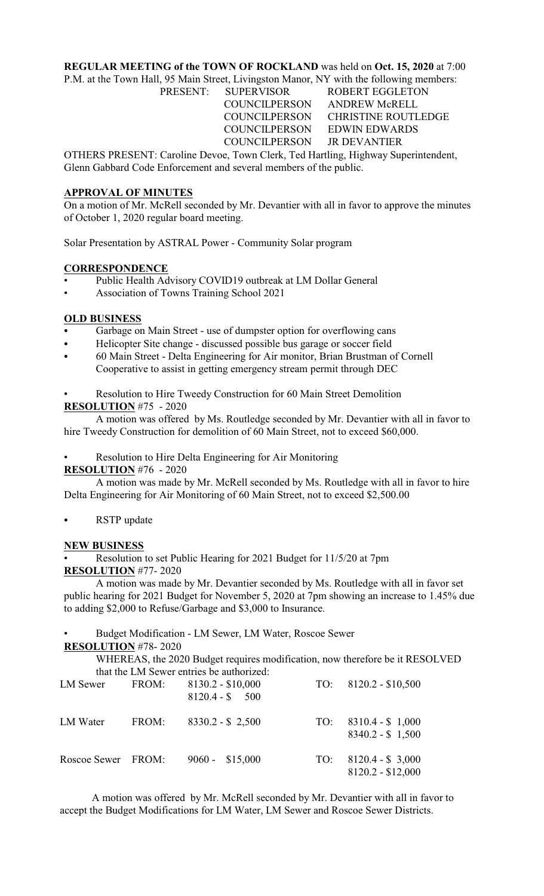### **REGULAR MEETING of the TOWN OF ROCKLAND** was held on **Oct. 15, 2020** at 7:00

P.M. at the Town Hall, 95 Main Street, Livingston Manor, NY with the following members:

PRESENT: SUPERVISOR ROBERT EGGLETON COUNCILPERSON ANDREW McRELL

 COUNCILPERSON CHRISTINE ROUTLEDGE COUNCILPERSON EDWIN EDWARDS COUNCILPERSON JR DEVANTIER

OTHERS PRESENT: Caroline Devoe, Town Clerk, Ted Hartling, Highway Superintendent, Glenn Gabbard Code Enforcement and several members of the public.

### **APPROVAL OF MINUTES**

On a motion of Mr. McRell seconded by Mr. Devantier with all in favor to approve the minutes of October 1, 2020 regular board meeting.

Solar Presentation by ASTRAL Power - Community Solar program

# **CORRESPONDENCE**

- Public Health Advisory COVID19 outbreak at LM Dollar General
- Association of Towns Training School 2021

# **OLD BUSINESS**

- Garbage on Main Street use of dumpster option for overflowing cans
- Helicopter Site change discussed possible bus garage or soccer field
- 60 Main Street Delta Engineering for Air monitor, Brian Brustman of Cornell Cooperative to assist in getting emergency stream permit through DEC

• Resolution to Hire Tweedy Construction for 60 Main Street Demolition

# **RESOLUTION** #75 - 2020

A motion was offered by Ms. Routledge seconded by Mr. Devantier with all in favor to hire Tweedy Construction for demolition of 60 Main Street, not to exceed \$60,000.

• Resolution to Hire Delta Engineering for Air Monitoring

### **RESOLUTION** #76 - 2020

A motion was made by Mr. McRell seconded by Ms. Routledge with all in favor to hire Delta Engineering for Air Monitoring of 60 Main Street, not to exceed \$2,500.00

RSTP update

### **NEW BUSINESS**

• Resolution to set Public Hearing for 2021 Budget for 11/5/20 at 7pm **RESOLUTION** #77- 2020

A motion was made by Mr. Devantier seconded by Ms. Routledge with all in favor set public hearing for 2021 Budget for November 5, 2020 at 7pm showing an increase to 1.45% due to adding \$2,000 to Refuse/Garbage and \$3,000 to Insurance.

• Budget Modification - LM Sewer, LM Water, Roscoe Sewer **RESOLUTION** #78- 2020

WHEREAS, the 2020 Budget requires modification, now therefore be it RESOLVED that the LM Sewer entries be authorized:

| LM Sewer           | FROM: | $8130.2 - $10,000$<br>$8120.4 - $ 500$ | TO: | $8120.2 - $10,500$                      |
|--------------------|-------|----------------------------------------|-----|-----------------------------------------|
| LM Water           | FROM: | $8330.2 - $2,500$                      | TO: | $8310.4 - $1,000$<br>$8340.2 - $1,500$  |
| Roscoe Sewer FROM: |       | $9060 - $15,000$                       | TO: | $8120.4 - $3,000$<br>$8120.2 - $12,000$ |

A motion was offered by Mr. McRell seconded by Mr. Devantier with all in favor to accept the Budget Modifications for LM Water, LM Sewer and Roscoe Sewer Districts.